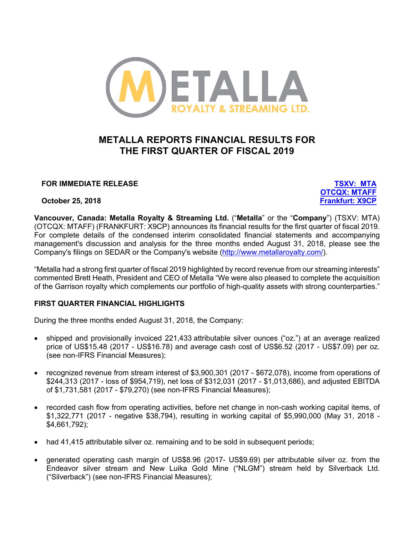

# **METALLA REPORTS FINANCIAL RESULTS FOR THE FIRST QUARTER OF FISCAL 2019**

# **FOR IMMEDIATE RELEASE TSXV: MTA**

**October 25, 2018 Frankfurt: X9CP**

**OTCQX: MTAFF**

**Vancouver, Canada: Metalla Royalty & Streaming Ltd.** ("**Metalla**" or the "**Company**") (TSXV: MTA) (OTCQX: MTAFF) (FRANKFURT: X9CP) announces its financial results for the first quarter of fiscal 2019. For complete details of the condensed interim consolidated financial statements and accompanying management's discussion and analysis for the three months ended August 31, 2018, please see the Company's filings on SEDAR or the Company's website (http://www.metallaroyalty.com/).

"Metalla had a strong first quarter of fiscal 2019 highlighted by record revenue from our streaming interests" commented Brett Heath, President and CEO of Metalla "We were also pleased to complete the acquisition of the Garrison royalty which complements our portfolio of high-quality assets with strong counterparties."

# **FIRST QUARTER FINANCIAL HIGHLIGHTS**

During the three months ended August 31, 2018, the Company:

- shipped and provisionally invoiced 221,433 attributable silver ounces ("oz.") at an average realized price of US\$15.48 (2017 - US\$16.78) and average cash cost of US\$6.52 (2017 - US\$7.09) per oz. (see non-IFRS Financial Measures);
- recognized revenue from stream interest of \$3,900,301 (2017 \$672,078), income from operations of \$244,313 (2017 - loss of \$954,719), net loss of \$312,031 (2017 - \$1,013,686), and adjusted EBITDA of \$1,731,581 (2017 - \$79,270) (see non-IFRS Financial Measures);
- recorded cash flow from operating activities, before net change in non-cash working capital items, of \$1,322,771 (2017 - negative \$38,794), resulting in working capital of \$5,990,000 (May 31, 2018 - \$4,661,792);
- had 41,415 attributable silver oz. remaining and to be sold in subsequent periods;
- generated operating cash margin of US\$8.96 (2017- US\$9.69) per attributable silver oz. from the Endeavor silver stream and New Luika Gold Mine ("NLGM") stream held by Silverback Ltd. ("Silverback") (see non-IFRS Financial Measures);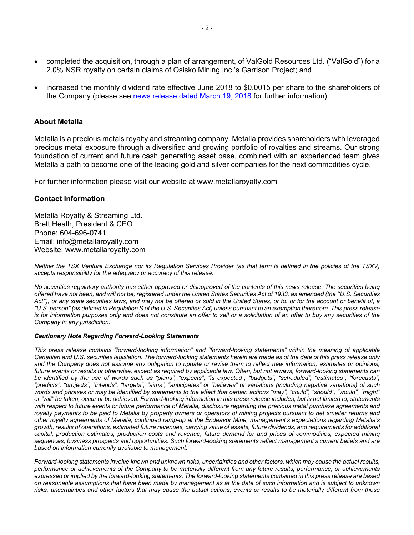- completed the acquisition, through a plan of arrangement, of ValGold Resources Ltd. ("ValGold") for a 2.0% NSR royalty on certain claims of Osisko Mining Inc.'s Garrison Project; and
- increased the monthly dividend rate effective June 2018 to \$0.0015 per share to the shareholders of the Company (please see news release dated March 19, 2018 for further information).

## **About Metalla**

Metalla is a precious metals royalty and streaming company. Metalla provides shareholders with leveraged precious metal exposure through a diversified and growing portfolio of royalties and streams. Our strong foundation of current and future cash generating asset base, combined with an experienced team gives Metalla a path to become one of the leading gold and silver companies for the next commodities cycle.

For further information please visit our website at www.metallaroyalty.com

## **Contact Information**

Metalla Royalty & Streaming Ltd. Brett Heath, President & CEO Phone: 604-696-0741 Email: info@metallaroyalty.com Website: www.metallaroyalty.com

*Neither the TSX Venture Exchange nor its Regulation Services Provider (as that term is defined in the policies of the TSXV) accepts responsibility for the adequacy or accuracy of this release.*

*No securities regulatory authority has either approved or disapproved of the contents of this news release. The securities being offered have not been, and will not be, registered under the United States Securities Act of 1933, as amended (the ''U.S. Securities Act''), or any state securities laws, and may not be offered or sold in the United States, or to, or for the account or benefit of, a "U.S. person" (as defined in Regulation S of the U.S. Securities Act) unless pursuant to an exemption therefrom. This press release*  is for information purposes only and does not constitute an offer to sell or a solicitation of an offer to buy any securities of the *Company in any jurisdiction.*

#### *Cautionary Note Regarding Forward-Looking Statements*

*This press release contains "forward-looking information" and "forward-looking statements" within the meaning of applicable Canadian and U.S. securities legislation. The forward-looking statements herein are made as of the date of this press release only and the Company does not assume any obligation to update or revise them to reflect new information, estimates or opinions, future events or results or otherwise, except as required by applicable law. Often, but not always, forward-looking statements can be identified by the use of words such as "plans", "expects", "is expected", "budgets", "scheduled", "estimates", "forecasts", "predicts", "projects", "intends", "targets", "aims", "anticipates" or "believes" or variations (including negative variations) of such words and phrases or may be identified by statements to the effect that certain actions "may", "could", "should", "would", "might" or "will" be taken, occur or be achieved. Forward-looking information in this press release includes, but is not limited to, statements*  with respect to future events or future performance of Metalla, disclosure regarding the precious metal purchase agreements and *royalty payments to be paid to Metalla by property owners or operators of mining projects pursuant to net smelter returns and other royalty agreements of Metalla, continued ramp-up at the Endeavor Mine, management's expectations regarding Metalla's growth, results of operations, estimated future revenues, carrying value of assets, future dividends, and requirements for additional capital, production estimates, production costs and revenue, future demand for and prices of commodities, expected mining sequences, business prospects and opportunities. Such forward-looking statements reflect management's current beliefs and are based on information currently available to management.*

*Forward-looking statements involve known and unknown risks, uncertainties and other factors, which may cause the actual results, performance or achievements of the Company to be materially different from any future results, performance, or achievements expressed or implied by the forward-looking statements. The forward-looking statements contained in this press release are based on reasonable assumptions that have been made by management as at the date of such information and is subject to unknown risks, uncertainties and other factors that may cause the actual actions, events or results to be materially different from those*